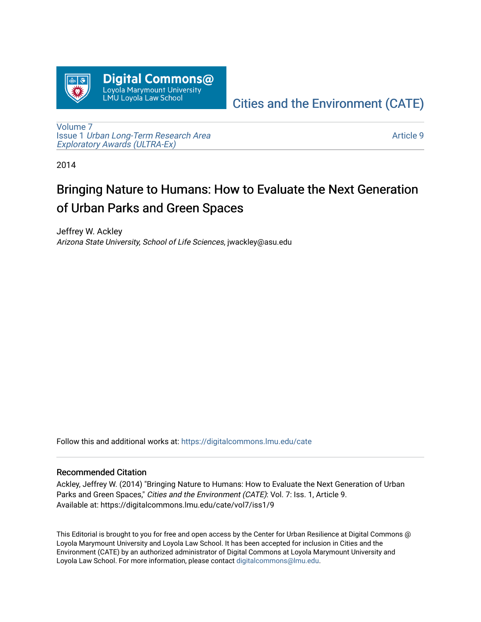

## [Cities and the Environment \(CATE\)](https://digitalcommons.lmu.edu/cate)

[Volume 7](https://digitalcommons.lmu.edu/cate/vol7) Issue 1 [Urban Long-Term Research Area](https://digitalcommons.lmu.edu/cate/vol7/iss1)  [Exploratory Awards \(ULTRA-Ex\)](https://digitalcommons.lmu.edu/cate/vol7/iss1) 

[Article 9](https://digitalcommons.lmu.edu/cate/vol7/iss1/9) 

2014

# Bringing Nature to Humans: How to Evaluate the Next Generation of Urban Parks and Green Spaces

Jeffrey W. Ackley Arizona State University, School of Life Sciences, jwackley@asu.edu

Follow this and additional works at: [https://digitalcommons.lmu.edu/cate](https://digitalcommons.lmu.edu/cate?utm_source=digitalcommons.lmu.edu%2Fcate%2Fvol7%2Fiss1%2F9&utm_medium=PDF&utm_campaign=PDFCoverPages) 

#### Recommended Citation

Ackley, Jeffrey W. (2014) "Bringing Nature to Humans: How to Evaluate the Next Generation of Urban Parks and Green Spaces," Cities and the Environment (CATE): Vol. 7: Iss. 1, Article 9. Available at: https://digitalcommons.lmu.edu/cate/vol7/iss1/9

This Editorial is brought to you for free and open access by the Center for Urban Resilience at Digital Commons @ Loyola Marymount University and Loyola Law School. It has been accepted for inclusion in Cities and the Environment (CATE) by an authorized administrator of Digital Commons at Loyola Marymount University and Loyola Law School. For more information, please contact [digitalcommons@lmu.edu](mailto:digitalcommons@lmu.edu).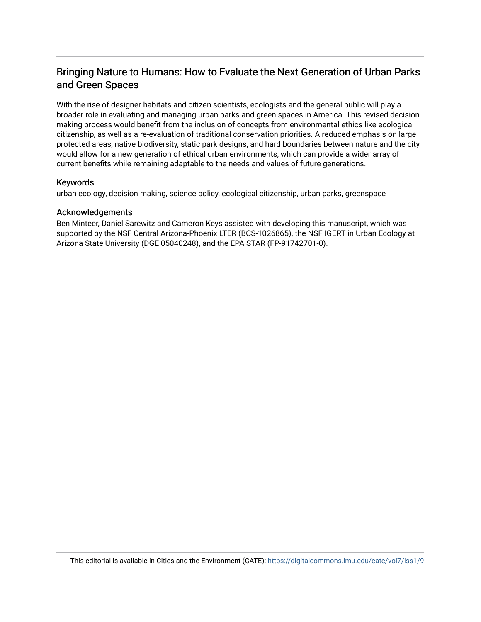### Bringing Nature to Humans: How to Evaluate the Next Generation of Urban Parks and Green Spaces

With the rise of designer habitats and citizen scientists, ecologists and the general public will play a broader role in evaluating and managing urban parks and green spaces in America. This revised decision making process would benefit from the inclusion of concepts from environmental ethics like ecological citizenship, as well as a re-evaluation of traditional conservation priorities. A reduced emphasis on large protected areas, native biodiversity, static park designs, and hard boundaries between nature and the city would allow for a new generation of ethical urban environments, which can provide a wider array of current benefits while remaining adaptable to the needs and values of future generations.

#### Keywords

urban ecology, decision making, science policy, ecological citizenship, urban parks, greenspace

#### Acknowledgements

Ben Minteer, Daniel Sarewitz and Cameron Keys assisted with developing this manuscript, which was supported by the NSF Central Arizona-Phoenix LTER (BCS-1026865), the NSF IGERT in Urban Ecology at Arizona State University (DGE 05040248), and the EPA STAR (FP-91742701-0).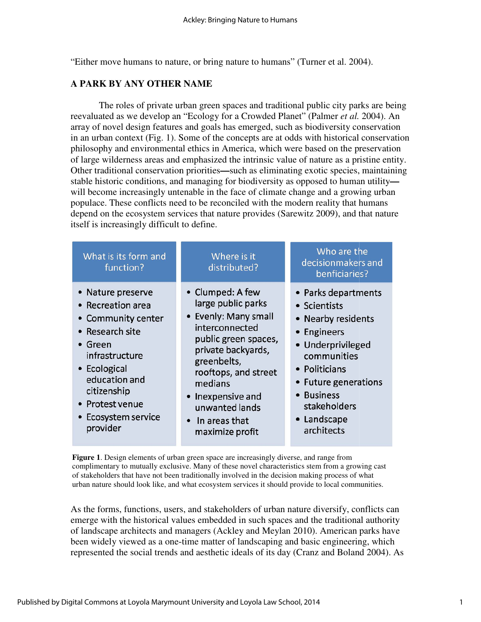"Either move humans to nature, or bring nature to humans" (Turner et al. 2004).

#### **A PARK BY ANY OTHER NAME**

The roles of private urban green spaces and traditional public city parks are being reevaluated as we develop an "Ecology for a Crowded Planet" (Palmer *et al.* 2004). An array of novel design features features and goals has emerged, such as biodiversity conservation array of novel design features and goals has emerged, such as biodiversity conservation<br>in an urban context (Fig. 1). Some of the concepts are at odds with historical conservation philosophy and environmental ethics in America, which were based on the preservation of large wilderness areas and emphasized the intrinsic value of nature as a pristine entity. Other traditional conservation priorities—such as eliminating exotic species, maintaining stable historic conditions, and managing for biodiversity as opposed to human utilitywill become increasingly untenable in the face of climate change and a growing urban populace. These conflicts need to be reconciled with the modern reality that humans populace. These conflicts need to be reconciled with the modern reality that humans depend on the ecosystem services that nature provides (Sarewitz 2009), and that nature itself is increasingly difficult to define.

| What is its form and<br>function?                                                                                                                                                                             | Where is it<br>distributed?                                                                                                                                                                                                                                                                                                                                                                                                                                                                         | Who are the<br>decisionmakers and<br>benficiaries?                                                                                                                                                                  |
|---------------------------------------------------------------------------------------------------------------------------------------------------------------------------------------------------------------|-----------------------------------------------------------------------------------------------------------------------------------------------------------------------------------------------------------------------------------------------------------------------------------------------------------------------------------------------------------------------------------------------------------------------------------------------------------------------------------------------------|---------------------------------------------------------------------------------------------------------------------------------------------------------------------------------------------------------------------|
| Nature preserve<br><b>Recreation area</b><br>Community center<br>Research site<br>Green<br>infrastructure<br>• Ecological<br>education and<br>citizenship<br>• Protest venue<br>Ecosystem service<br>provider | • Clumped: A few<br>large public parks<br>• Evenly: Many small<br>interconnected<br>public green spaces,<br>private backyards,<br>greenbelts,<br>rooftops, and street<br>medians<br>Inexpensive and<br>unwanted lands<br>In areas that<br>maximize profit                                                                                                                                                                                                                                           | • Parks departments<br>• Scientists<br>• Nearby residents<br>Engineers<br>• Underprivileged<br>communities<br>• Politicians<br>• Future generations<br><b>Business</b><br>stakeholders<br>• Landscape<br>architects |
|                                                                                                                                                                                                               | Figure 1. Design elements of urban green space are increasingly diverse, and range from<br>complimentary to mutually exclusive. Many of these novel characteristics stem from a growing cast<br>of stakeholders that have not been traditionally involved in the decision making process of what<br>urban nature should look like, and what ecosystem services it should provide to local communities.<br>As the forms, functions, users, and stakeholders of urban nature diversify, conflicts can |                                                                                                                                                                                                                     |

As the forms, functions, users, and stakeholders of urban nature diversify, conflicts can emerge with the historical values embedded in such spaces and the traditional authority of landscape architects and managers (Ackley and Meylan 2010). American parks have been widely viewed as a one-time matter of landscaping and basic engineering, which represented the social trends and aesthetic ideals of its day (Cranz and Boland 2004). As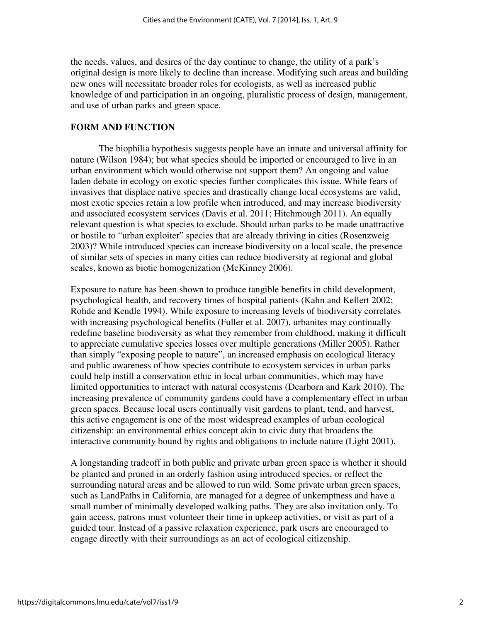the needs, values, and desires of the day continue to change, the utility of a park's original design is more likely to decline than increase. Modifying such areas and building new ones will necessitate broader roles for ecologists, as well as increased public knowledge of and participation in an ongoing, pluralistic process of design, management, and use of urban parks and green space.

#### **FORM AND FUNCTION**

The biophilia hypothesis suggests people have an innate and universal affinity for nature (Wilson 1984); but what species should be imported or encouraged to live in an urban environment which would otherwise not support them? An ongoing and value laden debate in ecology on exotic species further complicates this issue. While fears of invasives that displace native species and drastically change local ecosystems are valid, most exotic species retain a low profile when introduced, and may increase biodiversity and associated ecosystem services (Davis et al. 2011; Hitchmough 2011). An equally relevant question is what species to exclude. Should urban parks to be made unattractive or hostile to "urban exploiter" species that are already thriving in cities (Rosenzweig 2003)? While introduced species can increase biodiversity on a local scale, the presence of similar sets of species in many cities can reduce biodiversity at regional and global scales, known as biotic homogenization (McKinney 2006).

Exposure to nature has been shown to produce tangible benefits in child development, psychological health, and recovery times of hospital patients (Kahn and Kellert 2002; Rohde and Kendle 1994). While exposure to increasing levels of biodiversity correlates with increasing psychological benefits (Fuller et al. 2007), urbanites may continually redefine baseline biodiversity as what they remember from childhood, making it difficult to appreciate cumulative species losses over multiple generations (Miller 2005). Rather than simply "exposing people to nature", an increased emphasis on ecological literacy and public awareness of how species contribute to ecosystem services in urban parks could help instill a conservation ethic in local urban communities, which may have limited opportunities to interact with natural ecosystems (Dearborn and Kark 2010). The increasing prevalence of community gardens could have a complementary effect in urban green spaces. Because local users continually visit gardens to plant, tend, and harvest, this active engagement is one of the most widespread examples of urban ecological citizenship: an environmental ethics concept akin to civic duty that broadens the interactive community bound by rights and obligations to include nature (Light 2001).

A longstanding tradeoff in both public and private urban green space is whether it should be planted and pruned in an orderly fashion using introduced species, or reflect the surrounding natural areas and be allowed to run wild. Some private urban green spaces, such as LandPaths in California, are managed for a degree of unkemptness and have a small number of minimally developed walking paths. They are also invitation only. To gain access, patrons must volunteer their time in upkeep activities, or visit as part of a guided tour. Instead of a passive relaxation experience, park users are encouraged to engage directly with their surroundings as an act of ecological citizenship.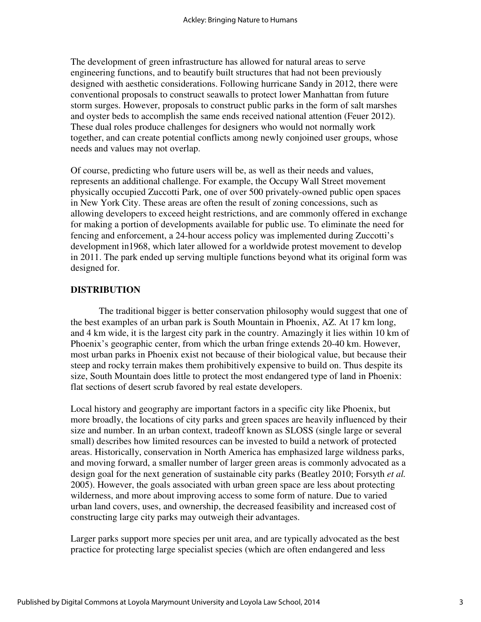The development of green infrastructure has allowed for natural areas to serve engineering functions, and to beautify built structures that had not been previously designed with aesthetic considerations. Following hurricane Sandy in 2012, there were conventional proposals to construct seawalls to protect lower Manhattan from future storm surges. However, proposals to construct public parks in the form of salt marshes and oyster beds to accomplish the same ends received national attention (Feuer 2012). These dual roles produce challenges for designers who would not normally work together, and can create potential conflicts among newly conjoined user groups, whose needs and values may not overlap.

Of course, predicting who future users will be, as well as their needs and values, represents an additional challenge. For example, the Occupy Wall Street movement physically occupied Zuccotti Park, one of over 500 privately-owned public open spaces in New York City. These areas are often the result of zoning concessions, such as allowing developers to exceed height restrictions, and are commonly offered in exchange for making a portion of developments available for public use. To eliminate the need for fencing and enforcement, a 24-hour access policy was implemented during Zuccotti's development in1968, which later allowed for a worldwide protest movement to develop in 2011. The park ended up serving multiple functions beyond what its original form was designed for.

#### **DISTRIBUTION**

The traditional bigger is better conservation philosophy would suggest that one of the best examples of an urban park is South Mountain in Phoenix, AZ. At 17 km long, and 4 km wide, it is the largest city park in the country. Amazingly it lies within 10 km of Phoenix's geographic center, from which the urban fringe extends 20-40 km. However, most urban parks in Phoenix exist not because of their biological value, but because their steep and rocky terrain makes them prohibitively expensive to build on. Thus despite its size, South Mountain does little to protect the most endangered type of land in Phoenix: flat sections of desert scrub favored by real estate developers.

Local history and geography are important factors in a specific city like Phoenix, but more broadly, the locations of city parks and green spaces are heavily influenced by their size and number. In an urban context, tradeoff known as SLOSS (single large or several small) describes how limited resources can be invested to build a network of protected areas. Historically, conservation in North America has emphasized large wildness parks, and moving forward, a smaller number of larger green areas is commonly advocated as a design goal for the next generation of sustainable city parks (Beatley 2010; Forsyth *et al.* 2005). However, the goals associated with urban green space are less about protecting wilderness, and more about improving access to some form of nature. Due to varied urban land covers, uses, and ownership, the decreased feasibility and increased cost of constructing large city parks may outweigh their advantages.

Larger parks support more species per unit area, and are typically advocated as the best practice for protecting large specialist species (which are often endangered and less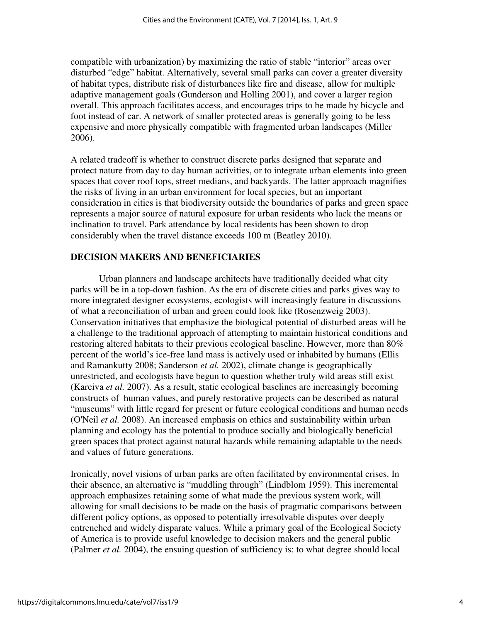compatible with urbanization) by maximizing the ratio of stable "interior" areas over disturbed "edge" habitat. Alternatively, several small parks can cover a greater diversity of habitat types, distribute risk of disturbances like fire and disease, allow for multiple adaptive management goals (Gunderson and Holling 2001), and cover a larger region overall. This approach facilitates access, and encourages trips to be made by bicycle and foot instead of car. A network of smaller protected areas is generally going to be less expensive and more physically compatible with fragmented urban landscapes (Miller 2006).

A related tradeoff is whether to construct discrete parks designed that separate and protect nature from day to day human activities, or to integrate urban elements into green spaces that cover roof tops, street medians, and backyards. The latter approach magnifies the risks of living in an urban environment for local species, but an important consideration in cities is that biodiversity outside the boundaries of parks and green space represents a major source of natural exposure for urban residents who lack the means or inclination to travel. Park attendance by local residents has been shown to drop considerably when the travel distance exceeds 100 m (Beatley 2010).

#### **DECISION MAKERS AND BENEFICIARIES**

 Urban planners and landscape architects have traditionally decided what city parks will be in a top-down fashion. As the era of discrete cities and parks gives way to more integrated designer ecosystems, ecologists will increasingly feature in discussions of what a reconciliation of urban and green could look like (Rosenzweig 2003). Conservation initiatives that emphasize the biological potential of disturbed areas will be a challenge to the traditional approach of attempting to maintain historical conditions and restoring altered habitats to their previous ecological baseline. However, more than 80% percent of the world's ice-free land mass is actively used or inhabited by humans (Ellis and Ramankutty 2008; Sanderson *et al.* 2002), climate change is geographically unrestricted, and ecologists have begun to question whether truly wild areas still exist (Kareiva *et al.* 2007). As a result, static ecological baselines are increasingly becoming constructs of human values, and purely restorative projects can be described as natural "museums" with little regard for present or future ecological conditions and human needs (O'Neil *et al.* 2008). An increased emphasis on ethics and sustainability within urban planning and ecology has the potential to produce socially and biologically beneficial green spaces that protect against natural hazards while remaining adaptable to the needs and values of future generations.

Ironically, novel visions of urban parks are often facilitated by environmental crises. In their absence, an alternative is "muddling through" (Lindblom 1959). This incremental approach emphasizes retaining some of what made the previous system work, will allowing for small decisions to be made on the basis of pragmatic comparisons between different policy options, as opposed to potentially irresolvable disputes over deeply entrenched and widely disparate values. While a primary goal of the Ecological Society of America is to provide useful knowledge to decision makers and the general public (Palmer *et al.* 2004), the ensuing question of sufficiency is: to what degree should local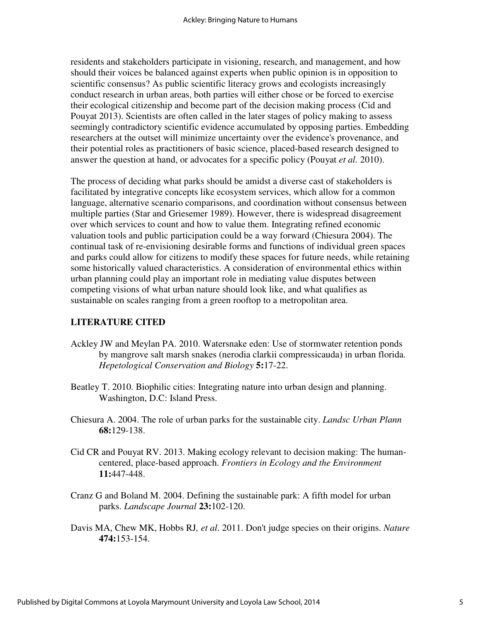residents and stakeholders participate in visioning, research, and management, and how should their voices be balanced against experts when public opinion is in opposition to scientific consensus? As public scientific literacy grows and ecologists increasingly conduct research in urban areas, both parties will either chose or be forced to exercise their ecological citizenship and become part of the decision making process (Cid and Pouyat 2013). Scientists are often called in the later stages of policy making to assess seemingly contradictory scientific evidence accumulated by opposing parties. Embedding researchers at the outset will minimize uncertainty over the evidence's provenance, and their potential roles as practitioners of basic science, placed-based research designed to answer the question at hand, or advocates for a specific policy (Pouyat *et al.* 2010).

The process of deciding what parks should be amidst a diverse cast of stakeholders is facilitated by integrative concepts like ecosystem services, which allow for a common language, alternative scenario comparisons, and coordination without consensus between multiple parties (Star and Griesemer 1989). However, there is widespread disagreement over which services to count and how to value them. Integrating refined economic valuation tools and public participation could be a way forward (Chiesura 2004). The continual task of re-envisioning desirable forms and functions of individual green spaces and parks could allow for citizens to modify these spaces for future needs, while retaining some historically valued characteristics. A consideration of environmental ethics within urban planning could play an important role in mediating value disputes between competing visions of what urban nature should look like, and what qualifies as sustainable on scales ranging from a green rooftop to a metropolitan area.

#### **LITERATURE CITED**

- Ackley JW and Meylan PA. 2010. Watersnake eden: Use of stormwater retention ponds by mangrove salt marsh snakes (nerodia clarkii compressicauda) in urban florida. *Hepetological Conservation and Biology* **5:**17-22.
- Beatley T. 2010. Biophilic cities: Integrating nature into urban design and planning. Washington, D.C: Island Press.
- Chiesura A. 2004. The role of urban parks for the sustainable city. *Landsc Urban Plann* **68:**129-138.
- Cid CR and Pouyat RV. 2013. Making ecology relevant to decision making: The humancentered, place-based approach. *Frontiers in Ecology and the Environment* **11:**447-448.
- Cranz G and Boland M. 2004. Defining the sustainable park: A fifth model for urban parks. *Landscape Journal* **23:**102-120.
- Davis MA, Chew MK, Hobbs RJ*, et al*. 2011. Don't judge species on their origins. *Nature* **474:**153-154.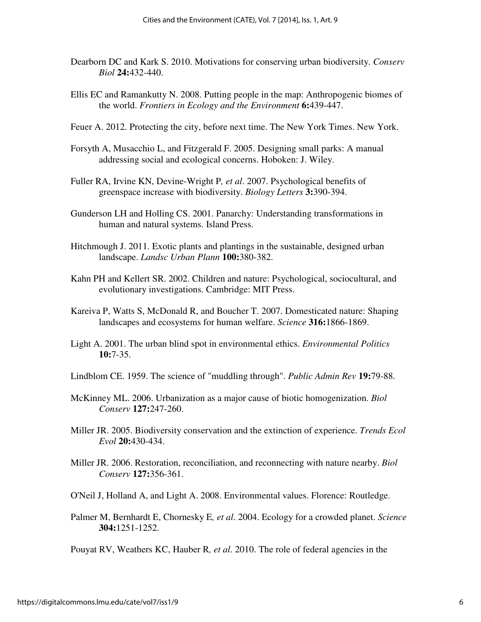- Dearborn DC and Kark S. 2010. Motivations for conserving urban biodiversity. *Conserv Biol* **24:**432-440.
- Ellis EC and Ramankutty N. 2008. Putting people in the map: Anthropogenic biomes of the world. *Frontiers in Ecology and the Environment* **6:**439-447.
- Feuer A. 2012. Protecting the city, before next time. The New York Times. New York.
- Forsyth A, Musacchio L, and Fitzgerald F. 2005. Designing small parks: A manual addressing social and ecological concerns. Hoboken: J. Wiley.
- Fuller RA, Irvine KN, Devine-Wright P*, et al*. 2007. Psychological benefits of greenspace increase with biodiversity. *Biology Letters* **3:**390-394.
- Gunderson LH and Holling CS. 2001. Panarchy: Understanding transformations in human and natural systems. Island Press.
- Hitchmough J. 2011. Exotic plants and plantings in the sustainable, designed urban landscape. *Landsc Urban Plann* **100:**380-382.
- Kahn PH and Kellert SR. 2002. Children and nature: Psychological, sociocultural, and evolutionary investigations. Cambridge: MIT Press.
- Kareiva P, Watts S, McDonald R, and Boucher T. 2007. Domesticated nature: Shaping landscapes and ecosystems for human welfare. *Science* **316:**1866-1869.
- Light A. 2001. The urban blind spot in environmental ethics. *Environmental Politics* **10:**7-35.
- Lindblom CE. 1959. The science of "muddling through". *Public Admin Rev* **19:**79-88.
- McKinney ML. 2006. Urbanization as a major cause of biotic homogenization. *Biol Conserv* **127:**247-260.
- Miller JR. 2005. Biodiversity conservation and the extinction of experience. *Trends Ecol Evol* **20:**430-434.
- Miller JR. 2006. Restoration, reconciliation, and reconnecting with nature nearby. *Biol Conserv* **127:**356-361.
- O'Neil J, Holland A, and Light A. 2008. Environmental values. Florence: Routledge.
- Palmer M, Bernhardt E, Chornesky E*, et al*. 2004. Ecology for a crowded planet. *Science* **304:**1251-1252.

Pouyat RV, Weathers KC, Hauber R*, et al*. 2010. The role of federal agencies in the